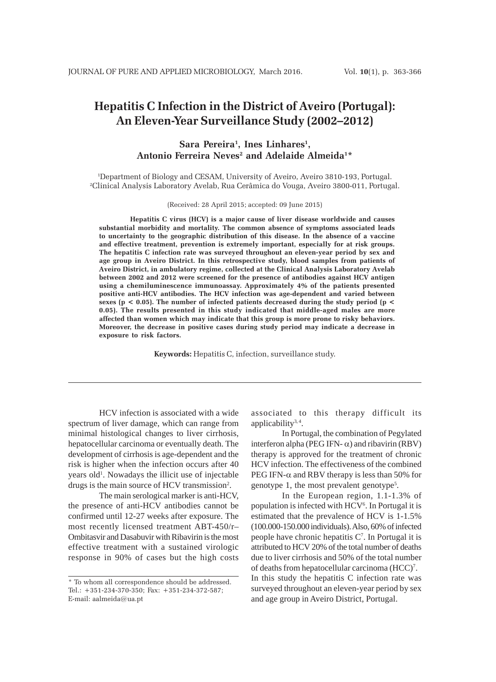# **Hepatitis C Infection in the District of Aveiro (Portugal): An Eleven-Year Surveillance Study (2002–2012)**

# Sara Pereira<sup>1</sup>, Ines Linhares<sup>1</sup>,  $\bm{\Lambda}$ ntonio Ferreira Neves<sup>2</sup> and Adelaide Almeida<sup>1\*</sup>

1 Department of Biology and CESAM, University of Aveiro, Aveiro 3810-193, Portugal. 2 Clinical Analysis Laboratory Avelab, Rua Cerâmica do Vouga, Aveiro 3800-011, Portugal.

(Received: 28 April 2015; accepted: 09 June 2015)

**Hepatitis C virus (HCV) is a major cause of liver disease worldwide and causes substantial morbidity and mortality. The common absence of symptoms associated leads to uncertainty to the geographic distribution of this disease. In the absence of a vaccine and effective treatment, prevention is extremely important, especially for at risk groups. The hepatitis C infection rate was surveyed throughout an eleven-year period by sex and age group in Aveiro District. In this retrospective study, blood samples from patients of Aveiro District, in ambulatory regime, collected at the Clinical Analysis Laboratory Avelab between 2002 and 2012 were screened for the presence of antibodies against HCV antigen using a chemiluminescence immunoassay. Approximately 4% of the patients presented positive anti-HCV antibodies. The HCV infection was age-dependent and varied between sexes (p < 0.05). The number of infected patients decreased during the study period (p < 0.05). The results presented in this study indicated that middle-aged males are more affected than women which may indicate that this group is more prone to risky behaviors. Moreover, the decrease in positive cases during study period may indicate a decrease in exposure to risk factors.**

**Keywords:** Hepatitis C, infection, surveillance study.

HCV infection is associated with a wide spectrum of liver damage, which can range from minimal histological changes to liver cirrhosis, hepatocellular carcinoma or eventually death. The development of cirrhosis is age-dependent and the risk is higher when the infection occurs after 40 years old<sup>1</sup>. Nowadays the illicit use of injectable drugs is the main source of HCV transmission<sup>2</sup>.

The main serological marker is anti-HCV, the presence of anti-HCV antibodies cannot be confirmed until 12-27 weeks after exposure. The most recently licensed treatment ABT-450/r– Ombitasvir and Dasabuvir with Ribavirin is the most effective treatment with a sustained virologic response in 90% of cases but the high costs associated to this therapy difficult its applicability $3, 4$ .

In Portugal, the combination of Pegylated interferon alpha (PEG IFN- $\alpha$ ) and ribavirin (RBV) therapy is approved for the treatment of chronic HCV infection. The effectiveness of the combined PEG IFN- $\alpha$  and RBV therapy is less than 50% for genotype 1, the most prevalent genotype<sup>5</sup>.

In the European region, 1.1-1.3% of population is infected with HCV<sup>6</sup>. In Portugal it is estimated that the prevalence of HCV is 1-1.5% (100.000-150.000 individuals). Also, 60% of infected people have chronic hepatitis C7 . In Portugal it is attributed to HCV 20% of the total number of deaths due to liver cirrhosis and 50% of the total number of deaths from hepatocellular carcinoma (HCC)<sup>7</sup>. In this study the hepatitis C infection rate was surveyed throughout an eleven-year period by sex and age group in Aveiro District*,* Portugal.

<sup>\*</sup> To whom all correspondence should be addressed. Tel.: +351-234-370-350; Fax: +351-234-372-587; E-mail: aalmeida@ua.pt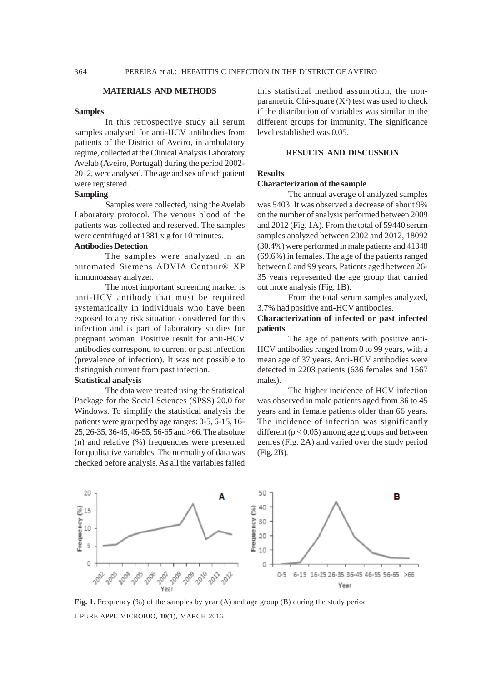#### **MATERIALS AND METHODS**

#### **Samples**

In this retrospective study all serum samples analysed for anti-HCV antibodies from patients of the District of Aveiro, in ambulatory regime, collected at the Clinical Analysis Laboratory Avelab (Aveiro, Portugal) during the period 2002- 2012, were analysed. The age and sex of each patient were registered.

# **Sampling**

Samples were collected, using the Avelab Laboratory protocol. The venous blood of the patients was collected and reserved. The samples were centrifuged at 1381 x g for 10 minutes.

# **Antibodies Detection**

The samples were analyzed in an automated Siemens ADVIA Centaur® XP immunoassay analyzer.

The most important screening marker is anti-HCV antibody that must be required systematically in individuals who have been exposed to any risk situation considered for this infection and is part of laboratory studies for pregnant woman. Positive result for anti-HCV antibodies correspond to current or past infection (prevalence of infection). It was not possible to distinguish current from past infection.

# **Statistical analysis**

The data were treated using the Statistical Package for the Social Sciences (SPSS) 20.0 for Windows. To simplify the statistical analysis the patients were grouped by age ranges: 0-5, 6-15, 16- 25, 26-35, 36-45, 46-55, 56-65 and >66. The absolute (n) and relative (%) frequencies were presented for qualitative variables. The normality of data was checked before analysis. As all the variables failed

this statistical method assumption, the nonparametric Chi-square  $(X^2)$  test was used to check if the distribution of variables was similar in the different groups for immunity. The significance level established was 0.05.

## **RESULTS AND DISCUSSION**

# **Results**

#### **Characterization of the sample**

The annual average of analyzed samples was 5403. It was observed a decrease of about 9% on the number of analysis performed between 2009 and 2012 (Fig. 1A). From the total of 59440 serum samples analyzed between 2002 and 2012, 18092 (30.4%) were performed in male patients and 41348 (69.6%) in females. The age of the patients ranged between 0 and 99 years. Patients aged between 26- 35 years represented the age group that carried out more analysis (Fig. 1B).

From the total serum samples analyzed, 3.7% had positive anti-HCV antibodies.

# **Characterization of infected or past infected patients**

The age of patients with positive anti-HCV antibodies ranged from 0 to 99 years, with a mean age of 37 years. Anti-HCV antibodies were detected in 2203 patients (636 females and 1567 males).

The higher incidence of HCV infection was observed in male patients aged from 36 to 45 years and in female patients older than 66 years. The incidence of infection was significantly different ( $p < 0.05$ ) among age groups and between genres (Fig. 2A) and varied over the study period (Fig. 2B).



J PURE APPL MICROBIO*,* **10**(1), MARCH 2016. **Fig. 1.** Frequency (%) of the samples by year (A) and age group (B) during the study period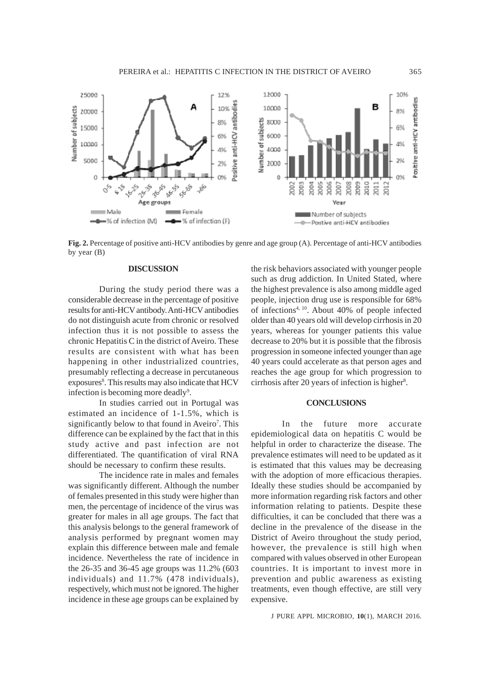

**Fig. 2.** Percentage of positive anti-HCV antibodies by genre and age group (A). Percentage of anti-HCV antibodies by year (B)

#### **DISCUSSION**

During the study period there was a considerable decrease in the percentage of positive results for anti-HCV antibody. Anti-HCV antibodies do not distinguish acute from chronic or resolved infection thus it is not possible to assess the chronic Hepatitis C in the district of Aveiro. These results are consistent with what has been happening in other industrialized countries, presumably reflecting a decrease in percutaneous exposures<sup>8</sup>. This results may also indicate that HCV infection is becoming more deadly<sup>9</sup>.

In studies carried out in Portugal was estimated an incidence of 1-1.5%, which is significantly below to that found in Aveiro<sup>7</sup>. This difference can be explained by the fact that in this study active and past infection are not differentiated. The quantification of viral RNA should be necessary to confirm these results.

The incidence rate in males and females was significantly different. Although the number of females presented in this study were higher than men, the percentage of incidence of the virus was greater for males in all age groups. The fact that this analysis belongs to the general framework of analysis performed by pregnant women may explain this difference between male and female incidence. Nevertheless the rate of incidence in the 26-35 and 36-45 age groups was 11.2% (603 individuals) and 11.7% (478 individuals), respectively, which must not be ignored. The higher incidence in these age groups can be explained by

the risk behaviors associated with younger people such as drug addiction. In United Stated, where the highest prevalence is also among middle aged people, injection drug use is responsible for 68% of infections4, 10. About 40% of people infected older than 40 years old will develop cirrhosis in 20 years, whereas for younger patients this value decrease to 20% but it is possible that the fibrosis progression in someone infected younger than age 40 years could accelerate as that person ages and reaches the age group for which progression to cirrhosis after 20 years of infection is higher<sup>8</sup>.

## **CONCLUSIONS**

In the future more accurate epidemiological data on hepatitis C would be helpful in order to characterize the disease. The prevalence estimates will need to be updated as it is estimated that this values may be decreasing with the adoption of more efficacious therapies. Ideally these studies should be accompanied by more information regarding risk factors and other information relating to patients. Despite these difficulties, it can be concluded that there was a decline in the prevalence of the disease in the District of Aveiro throughout the study period, however, the prevalence is still high when compared with values observed in other European countries. It is important to invest more in prevention and public awareness as existing treatments, even though effective, are still very expensive.

J PURE APPL MICROBIO*,* **10**(1), MARCH 2016.